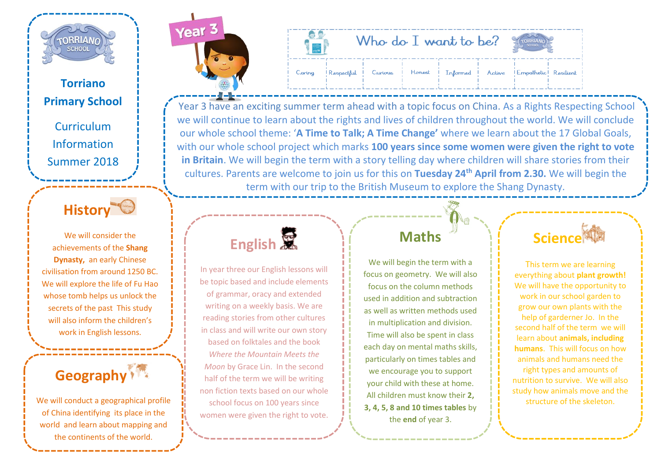

#### **Torriano Primary School**

Curriculum Information Summer 2018

### **History**

We will consider the achievements of the **Shang Dynasty,** an early Chinese civilisation from around 1250 BC. We will explore the life of Fu Hao whose tomb helps us unlock the secrets of the past This study will also inform the children's work in English lessons.



We will conduct a geographical profile of China identifying its place in the world and learn about mapping and the continents of the world.



| $\frac{\textcircled{\textit{max}}}{\text{urice}(\textbf{0})}$ |          | Who do I want to be?                                                     |  |  |  |
|---------------------------------------------------------------|----------|--------------------------------------------------------------------------|--|--|--|
|                                                               | I Caring | Respectful Curious   Honest   Informed   Active   Empathetic   Resilient |  |  |  |

[Year 3 have an excit](http://www.torrianojun.camden.sch.uk/year-groups/year-3)ing summer term ahead with a topic focus on China. As a Rights Respecting School we will continue to learn about the rights and lives of children throughout the world. We will conclude our whole school theme: '**A Time to Talk; A Time Change'** where we learn about the 17 Global Goals, with our whole school project which marks **100 years since some women were given the right to vote in Britain**. We will begin the term with a story telling day where children will share stories from their cultures. Parents are welcome to join us for this on **Tuesday 24th April from 2.30.** We will begin the term with our trip to the British Museum to explore the Shang Dynasty.



In year three our English lessons will be topic based and include elements of grammar, oracy and extended writing on a weekly basis. We are reading stories from other cultures in class and will write our own story based on folktales and the book *Where the Mountain Meets the Moon* by Grace Lin. In the second half of the term we will be writing non fiction texts based on our whole school focus on 100 years since women were given the right to vote.

### **Maths**

We will begin the term with a focus on geometry. We will also focus on the column methods used in addition and subtraction as well as written methods used in multiplication and division. Time will also be spent in class each day on mental maths skills, particularly on times tables and we encourage you to support your child with these at home. All children must know their **2, 3, 4, 5, 8 and 10 times tables** by the **end** of year 3.

### **Science**

This term we are learning everything about **plant growth!** We will have the opportunity to work in our school garden to grow our own plants with the help of garderner Jo. In the second half of the term we will learn about **animals, including humans**. This will focus on how animals and humans need the right types and amounts of nutrition to survive. We will also study how animals move and the structure of the skeleton.